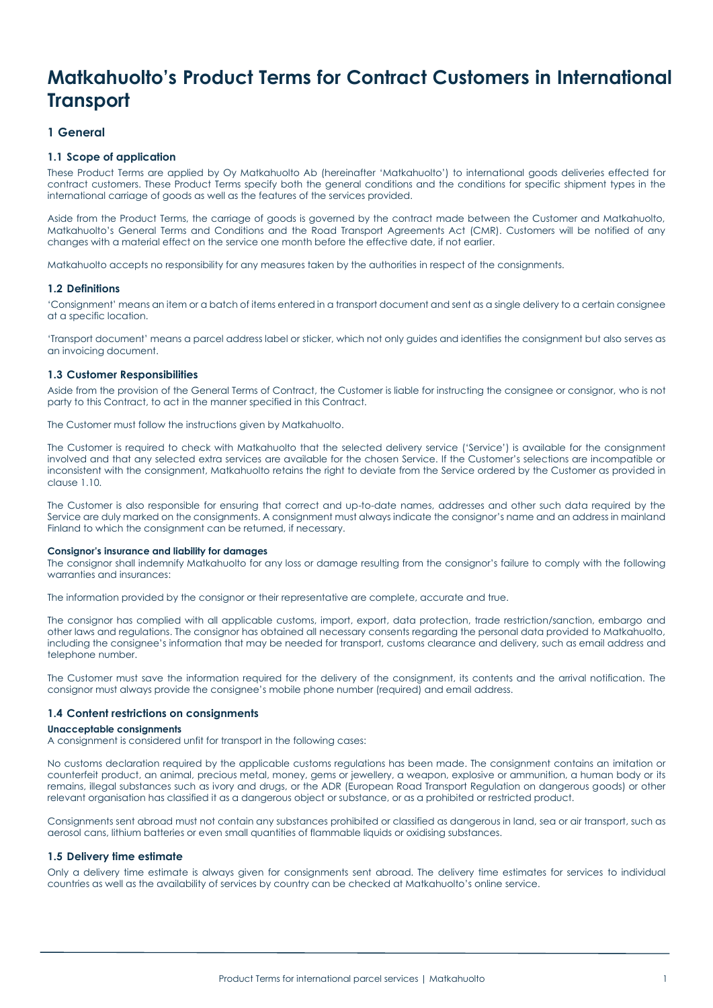# **Matkahuolto's Product Terms for Contract Customers in International Transport**

# **1 General**

# **1.1 Scope of application**

These Product Terms are applied by Oy Matkahuolto Ab (hereinafter 'Matkahuolto') to international goods deliveries effected for contract customers. These Product Terms specify both the general conditions and the conditions for specific shipment types in the international carriage of goods as well as the features of the services provided.

Aside from the Product Terms, the carriage of goods is governed by the contract made between the Customer and Matkahuolto, Matkahuolto's General Terms and Conditions and the Road Transport Agreements Act (CMR). Customers will be notified of any changes with a material effect on the service one month before the effective date, if not earlier.

Matkahuolto accepts no responsibility for any measures taken by the authorities in respect of the consignments.

## **1.2 Definitions**

'Consignment' means an item or a batch of items entered in a transport document and sent as a single delivery to a certain consignee at a specific location.

'Transport document' means a parcel address label or sticker, which not only guides and identifies the consignment but also serves as an invoicing document.

## **1.3 Customer Responsibilities**

Aside from the provision of the General Terms of Contract, the Customer is liable for instructing the consignee or consignor, who is not party to this Contract, to act in the manner specified in this Contract.

The Customer must follow the instructions given by Matkahuolto.

The Customer is required to check with Matkahuolto that the selected delivery service ('Service') is available for the consignment involved and that any selected extra services are available for the chosen Service. If the Customer's selections are incompatible or inconsistent with the consignment, Matkahuolto retains the right to deviate from the Service ordered by the Customer as provided in clause 1.10.

The Customer is also responsible for ensuring that correct and up-to-date names, addresses and other such data required by the Service are duly marked on the consignments. A consignment must always indicate the consignor's name and an address in mainland Finland to which the consignment can be returned, if necessary.

#### **Consignor's insurance and liability for damages**

The consignor shall indemnify Matkahuolto for any loss or damage resulting from the consignor's failure to comply with the following warranties and insurances:

The information provided by the consignor or their representative are complete, accurate and true.

The consignor has complied with all applicable customs, import, export, data protection, trade restriction/sanction, embargo and other laws and regulations. The consignor has obtained all necessary consents regarding the personal data provided to Matkahuolto, including the consignee's information that may be needed for transport, customs clearance and delivery, such as email address and telephone number.

The Customer must save the information required for the delivery of the consignment, its contents and the arrival notification. The consignor must always provide the consignee's mobile phone number (required) and email address.

## **1.4 Content restrictions on consignments**

#### **Unacceptable consignments**

A consignment is considered unfit for transport in the following cases:

No customs declaration required by the applicable customs regulations has been made. The consignment contains an imitation or counterfeit product, an animal, precious metal, money, gems or jewellery, a weapon, explosive or ammunition, a human body or its remains, illegal substances such as ivory and drugs, or the ADR (European Road Transport Regulation on dangerous goods) or other relevant organisation has classified it as a dangerous object or substance, or as a prohibited or restricted product.

Consignments sent abroad must not contain any substances prohibited or classified as dangerous in land, sea or air transport, such as aerosol cans, lithium batteries or even small quantities of flammable liquids or oxidising substances.

## **1.5 Delivery time estimate**

Only a delivery time estimate is always given for consignments sent abroad. The delivery time estimates for services to individual countries as well as the availability of services by country can be checked at Matkahuolto's online service.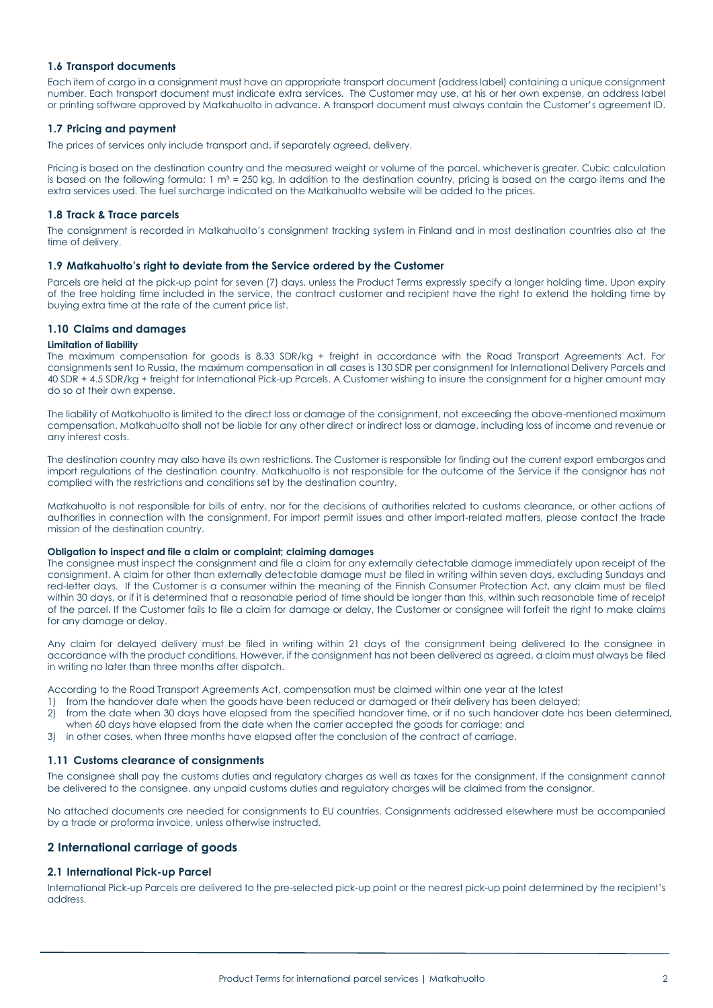# **1.6 Transport documents**

Each item of cargo in a consignment must have an appropriate transport document (address label) containing a unique consignment number. Each transport document must indicate extra services. The Customer may use, at his or her own expense, an address label or printing software approved by Matkahuolto in advance. A transport document must always contain the Customer's agreement ID.

# **1.7 Pricing and payment**

The prices of services only include transport and, if separately agreed, delivery.

Pricing is based on the destination country and the measured weight or volume of the parcel, whichever is greater. Cubic calculation is based on the following formula:  $1 \text{ m}^3 = 250 \text{ kg}$ . In addition to the destination country, pricing is based on the cargo items and the extra services used. The fuel surcharge indicated on the Matkahuolto website will be added to the prices.

# **1.8 Track & Trace parcels**

The consignment is recorded in Matkahuolto's consignment tracking system in Finland and in most destination countries also at the time of delivery.

# **1.9 Matkahuolto's right to deviate from the Service ordered by the Customer**

Parcels are held at the pick-up point for seven (7) days, unless the Product Terms expressly specify a longer holding time. Upon expiry of the free holding time included in the service, the contract customer and recipient have the right to extend the holding time by buying extra time at the rate of the current price list.

# **1.10 Claims and damages**

## **Limitation of liability**

The maximum compensation for goods is 8.33 SDR/kg + freight in accordance with the Road Transport Agreements Act. For consignments sent to Russia, the maximum compensation in all cases is 130 SDR per consignment for International Delivery Parcels and 40 SDR + 4.5 SDR/kg + freight for International Pick-up Parcels. A Customer wishing to insure the consignment for a higher amount may do so at their own expense.

The liability of Matkahuolto is limited to the direct loss or damage of the consignment, not exceeding the above-mentioned maximum compensation. Matkahuolto shall not be liable for any other direct or indirect loss or damage, including loss of income and revenue or any interest costs.

The destination country may also have its own restrictions. The Customer is responsible for finding out the current export embargos and import regulations of the destination country. Matkahuolto is not responsible for the outcome of the Service if the consignor has not complied with the restrictions and conditions set by the destination country.

Matkahuolto is not responsible for bills of entry, nor for the decisions of authorities related to customs clearance, or other actions of authorities in connection with the consignment. For import permit issues and other import-related matters, please contact the trade mission of the destination country.

#### **Obligation to inspect and file a claim or complaint; claiming damages**

The consignee must inspect the consignment and file a claim for any externally detectable damage immediately upon receipt of the consignment. A claim for other than externally detectable damage must be filed in writing within seven days, excluding Sundays and red-letter days. If the Customer is a consumer within the meaning of the Finnish Consumer Protection Act, any claim must be filed within 30 days, or if it is determined that a reasonable period of time should be longer than this, within such reasonable time of receipt of the parcel. If the Customer fails to file a claim for damage or delay, the Customer or consignee will forfeit the right to make claims for any damage or delay.

Any claim for delayed delivery must be filed in writing within 21 days of the consignment being delivered to the consignee in accordance with the product conditions. However, if the consignment has not been delivered as agreed, a claim must always be filed in writing no later than three months after dispatch.

According to the Road Transport Agreements Act, compensation must be claimed within one year at the latest

- 1) from the handover date when the goods have been reduced or damaged or their delivery has been delayed;
- 2) from the date when 30 days have elapsed from the specified handover time, or if no such handover date has been determined, when 60 days have elapsed from the date when the carrier accepted the goods for carriage; and
- 3) in other cases, when three months have elapsed after the conclusion of the contract of carriage.

# **1.11 Customs clearance of consignments**

The consignee shall pay the customs duties and regulatory charges as well as taxes for the consignment. If the consignment cannot be delivered to the consignee, any unpaid customs duties and regulatory charges will be claimed from the consignor.

No attached documents are needed for consignments to EU countries. Consignments addressed elsewhere must be accompanied by a trade or proforma invoice, unless otherwise instructed.

# **2 International carriage of goods**

# **2.1 International Pick-up Parcel**

International Pick-up Parcels are delivered to the pre-selected pick-up point or the nearest pick-up point determined by the recipient's address.